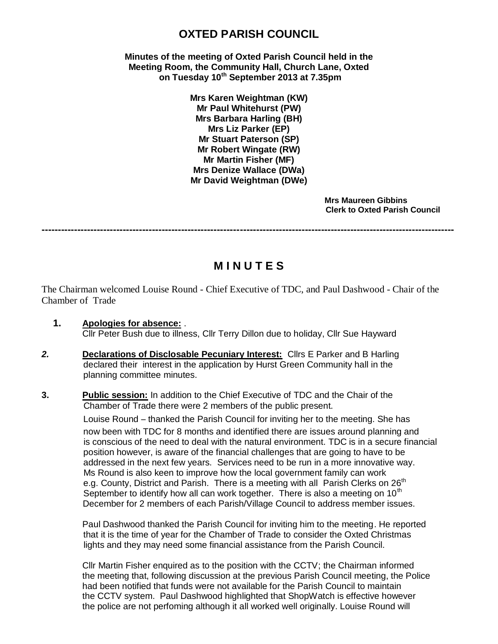# **OXTED PARISH COUNCIL**

**Minutes of the meeting of Oxted Parish Council held in the Meeting Room, the Community Hall, Church Lane, Oxted on Tuesday 10th September 2013 at 7.35pm**

> **Mrs Karen Weightman (KW) Mr Paul Whitehurst (PW) Mrs Barbara Harling (BH) Mrs Liz Parker (EP) Mr Stuart Paterson (SP) Mr Robert Wingate (RW) Mr Martin Fisher (MF) Mrs Denize Wallace (DWa) Mr David Weightman (DWe)**

> > **Mrs Maureen Gibbins Clerk to Oxted Parish Council**

**-------------------------------------------------------------------------------------------------------------------------------**

# **M I N U T E S**

The Chairman welcomed Louise Round - Chief Executive of TDC, and Paul Dashwood - Chair of the Chamber of Trade

- **1. Apologies for absence:** . Cllr Peter Bush due to illness, Cllr Terry Dillon due to holiday, Cllr Sue Hayward
- *2.* **Declarations of Disclosable Pecuniary Interest:** Cllrs E Parker and B Harling declared their interest in the application by Hurst Green Community hall in the planning committee minutes.

#### **3. Public session:** In addition to the Chief Executive of TDC and the Chair of the Chamber of Trade there were 2 members of the public present.

 Louise Round – thanked the Parish Council for inviting her to the meeting. She has now been with TDC for 8 months and identified there are issues around planning and is conscious of the need to deal with the natural environment. TDC is in a secure financial position however, is aware of the financial challenges that are going to have to be addressed in the next few years. Services need to be run in a more innovative way. Ms Round is also keen to improve how the local government family can work e.g. County, District and Parish. There is a meeting with all Parish Clerks on  $26<sup>th</sup>$ September to identify how all can work together. There is also a meeting on  $10<sup>th</sup>$ December for 2 members of each Parish/Village Council to address member issues.

Paul Dashwood thanked the Parish Council for inviting him to the meeting. He reported that it is the time of year for the Chamber of Trade to consider the Oxted Christmas lights and they may need some financial assistance from the Parish Council.

Cllr Martin Fisher enquired as to the position with the CCTV; the Chairman informed the meeting that, following discussion at the previous Parish Council meeting, the Police had been notified that funds were not available for the Parish Council to maintain the CCTV system. Paul Dashwood highlighted that ShopWatch is effective however the police are not perfoming although it all worked well originally. Louise Round will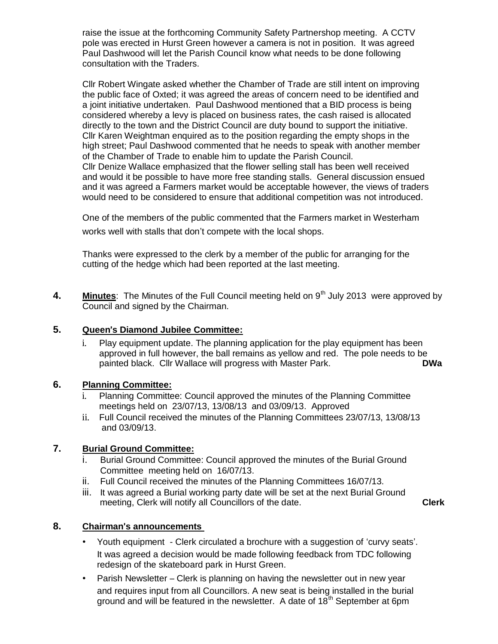raise the issue at the forthcoming Community Safety Partnershop meeting. A CCTV pole was erected in Hurst Green however a camera is not in position. It was agreed Paul Dashwood will let the Parish Council know what needs to be done following consultation with the Traders.

Cllr Robert Wingate asked whether the Chamber of Trade are still intent on improving the public face of Oxted; it was agreed the areas of concern need to be identified and a joint initiative undertaken. Paul Dashwood mentioned that a BID process is being considered whereby a levy is placed on business rates, the cash raised is allocated directly to the town and the District Council are duty bound to support the initiative. Cllr Karen Weightman enquired as to the position regarding the empty shops in the high street; Paul Dashwood commented that he needs to speak with another member of the Chamber of Trade to enable him to update the Parish Council. Cllr Denize Wallace emphasized that the flower selling stall has been well received and would it be possible to have more free standing stalls. General discussion ensued and it was agreed a Farmers market would be acceptable however, the views of traders would need to be considered to ensure that additional competition was not introduced.

One of the members of the public commented that the Farmers market in Westerham works well with stalls that don't compete with the local shops.

Thanks were expressed to the clerk by a member of the public for arranging for the cutting of the hedge which had been reported at the last meeting.

**4. Minutes**: The Minutes of the Full Council meeting held on 9<sup>th</sup> July 2013 were approved by Council and signed by the Chairman.

## **5. Queen**'**s Diamond Jubilee Committee:**

i. Play equipment update. The planning application for the play equipment has been approved in full however, the ball remains as yellow and red. The pole needs to be painted black. Cllr Wallace will progress with Master Park. **DWa**

# **6. Planning Committee:**

- i. Planning Committee: Council approved the minutes of the Planning Committee meetings held on 23/07/13, 13/08/13 and 03/09/13. Approved
- ii. Full Council received the minutes of the Planning Committees 23/07/13, 13/08/13 and 03/09/13.

# **7. Burial Ground Committee:**

- i. Burial Ground Committee: Council approved the minutes of the Burial Ground Committee meeting held on 16/07/13.
- ii. Full Council received the minutes of the Planning Committees 16/07/13.
- iii. It was agreed a Burial working party date will be set at the next Burial Ground meeting, Clerk will notify all Councillors of the date. **Clerk**

# **8. Chairman**'**s announcements**

- Youth equipment Clerk circulated a brochure with a suggestion of 'curvy seats'. It was agreed a decision would be made following feedback from TDC following redesign of the skateboard park in Hurst Green.
- Parish Newsletter Clerk is planning on having the newsletter out in new year and requires input from all Councillors. A new seat is being installed in the burial ground and will be featured in the newsletter. A date of  $18<sup>th</sup>$  September at 6pm